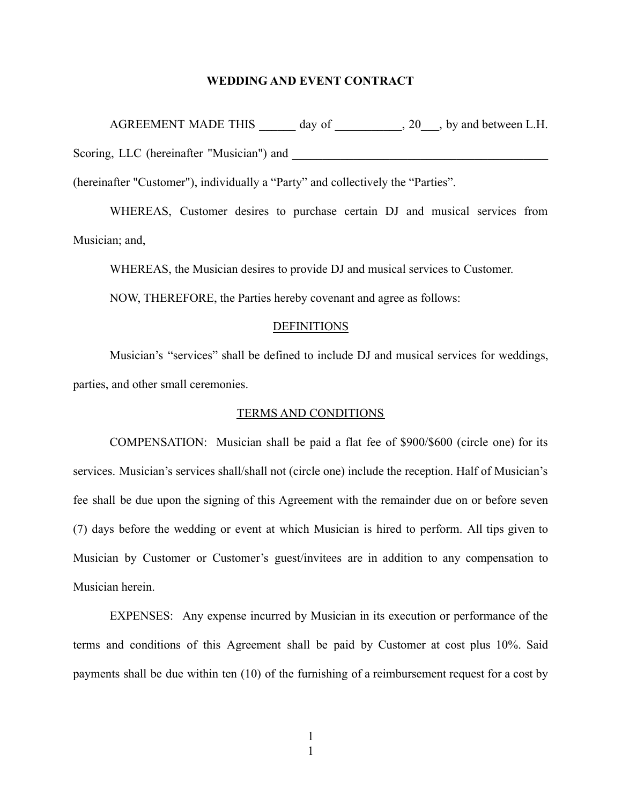## **WEDDING AND EVENT CONTRACT**

AGREEMENT MADE THIS day of  $\qquad$ , 20, by and between L.H. Scoring, LLC (hereinafter "Musician") and

(hereinafter "Customer"), individually a "Party" and collectively the "Parties".

WHEREAS, Customer desires to purchase certain DJ and musical services from Musician; and,

WHEREAS, the Musician desires to provide DJ and musical services to Customer.

NOW, THEREFORE, the Parties hereby covenant and agree as follows:

## **DEFINITIONS**

Musician's "services" shall be defined to include DJ and musical services for weddings, parties, and other small ceremonies.

## TERMS AND CONDITIONS

COMPENSATION: Musician shall be paid a flat fee of \$900/\$600 (circle one) for its services. Musician's services shall/shall not (circle one) include the reception. Half of Musician's fee shall be due upon the signing of this Agreement with the remainder due on or before seven (7) days before the wedding or event at which Musician is hired to perform. All tips given to Musician by Customer or Customer's guest/invitees are in addition to any compensation to Musician herein.

EXPENSES: Any expense incurred by Musician in its execution or performance of the terms and conditions of this Agreement shall be paid by Customer at cost plus 10%. Said payments shall be due within ten (10) of the furnishing of a reimbursement request for a cost by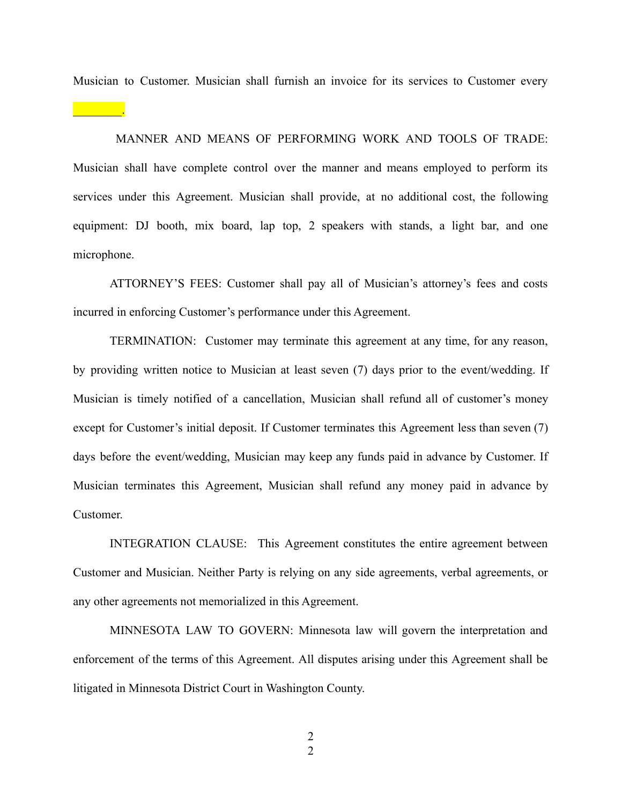Musician to Customer. Musician shall furnish an invoice for its services to Customer every

MANNER AND MEANS OF PERFORMING WORK AND TOOLS OF TRADE: Musician shall have complete control over the manner and means employed to perform its services under this Agreement. Musician shall provide, at no additional cost, the following equipment: DJ booth, mix board, lap top, 2 speakers with stands, a light bar, and one microphone.

ATTORNEY'S FEES: Customer shall pay all of Musician's attorney's fees and costs incurred in enforcing Customer's performance under this Agreement.

TERMINATION: Customer may terminate this agreement at any time, for any reason, by providing written notice to Musician at least seven (7) days prior to the event/wedding. If Musician is timely notified of a cancellation, Musician shall refund all of customer's money except for Customer's initial deposit. If Customer terminates this Agreement less than seven (7) days before the event/wedding, Musician may keep any funds paid in advance by Customer. If Musician terminates this Agreement, Musician shall refund any money paid in advance by Customer.

INTEGRATION CLAUSE: This Agreement constitutes the entire agreement between Customer and Musician. Neither Party is relying on any side agreements, verbal agreements, or any other agreements not memorialized in this Agreement.

MINNESOTA LAW TO GOVERN: Minnesota law will govern the interpretation and enforcement of the terms of this Agreement. All disputes arising under this Agreement shall be litigated in Minnesota District Court in Washington County.